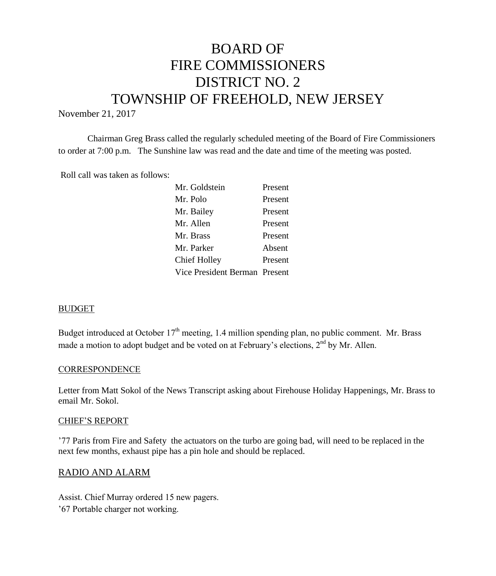# BOARD OF FIRE COMMISSIONERS DISTRICT NO. 2 TOWNSHIP OF FREEHOLD, NEW JERSEY

November 21, 2017

Chairman Greg Brass called the regularly scheduled meeting of the Board of Fire Commissioners to order at 7:00 p.m. The Sunshine law was read and the date and time of the meeting was posted.

Roll call was taken as follows:

| Present<br>Present            |
|-------------------------------|
|                               |
|                               |
| Present                       |
| Present                       |
| Absent                        |
| Present                       |
| Vice President Berman Present |
|                               |

#### BUDGET

Budget introduced at October  $17<sup>th</sup>$  meeting, 1.4 million spending plan, no public comment. Mr. Brass made a motion to adopt budget and be voted on at February's elections, 2<sup>nd</sup> by Mr. Allen.

#### **CORRESPONDENCE**

Letter from Matt Sokol of the News Transcript asking about Firehouse Holiday Happenings, Mr. Brass to email Mr. Sokol.

#### CHIEF'S REPORT

'77 Paris from Fire and Safety the actuators on the turbo are going bad, will need to be replaced in the next few months, exhaust pipe has a pin hole and should be replaced.

#### RADIO AND ALARM

Assist. Chief Murray ordered 15 new pagers. '67 Portable charger not working.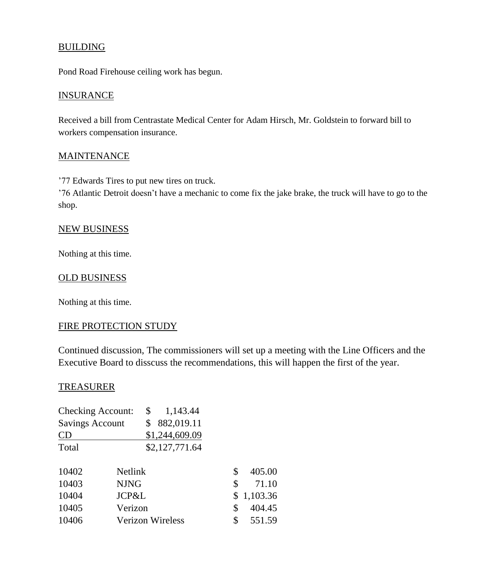# BUILDING

Pond Road Firehouse ceiling work has begun.

### **INSURANCE**

Received a bill from Centrastate Medical Center for Adam Hirsch, Mr. Goldstein to forward bill to workers compensation insurance.

### **MAINTENANCE**

'77 Edwards Tires to put new tires on truck.

'76 Atlantic Detroit doesn't have a mechanic to come fix the jake brake, the truck will have to go to the shop.

#### NEW BUSINESS

Nothing at this time.

### OLD BUSINESS

Nothing at this time.

# FIRE PROTECTION STUDY

Continued discussion, The commissioners will set up a meeting with the Line Officers and the Executive Board to disscuss the recommendations, this will happen the first of the year.

### TREASURER

| <b>Checking Account:</b> |                | \$<br>1,143.44          |              |
|--------------------------|----------------|-------------------------|--------------|
| <b>Savings Account</b>   |                | \$<br>882,019.11        |              |
| CD                       |                | \$1,244,609.09          |              |
| Total                    |                | \$2,127,771.64          |              |
| 10402                    | <b>Netlink</b> |                         | \$<br>405.00 |
| 10403                    | <b>NJNG</b>    |                         | \$<br>71.10  |
| 10404                    | JCP&L          |                         | \$1,103.36   |
| 10405                    | Verizon        |                         | \$<br>404.45 |
| 10406                    |                | <b>Verizon Wireless</b> | \$<br>551.59 |